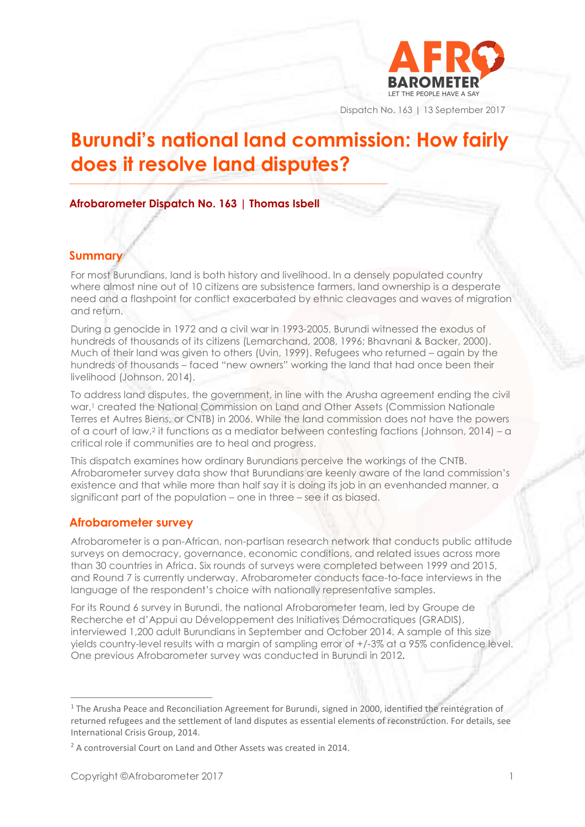

Dispatch No. 163 | 13 September 2017

# **Burundi's national land commission: How fairly does it resolve land disputes?**

### **Afrobarometer Dispatch No. 163 | Thomas Isbell**

**\_\_\_\_\_\_\_\_\_\_\_\_\_\_\_\_\_\_\_\_\_\_\_\_\_\_\_\_\_\_\_\_\_\_\_\_\_\_\_\_\_\_\_\_\_\_\_\_\_\_\_\_\_\_\_\_\_\_\_\_\_\_\_\_\_\_\_\_\_\_\_\_\_\_\_\_\_\_\_\_\_**

#### **Summary**

For most Burundians, land is both history and livelihood. In a densely populated country where almost nine out of 10 citizens are subsistence farmers, land ownership is a desperate need and a flashpoint for conflict exacerbated by ethnic cleavages and waves of migration and return.

During a genocide in 1972 and a civil war in 1993-2005, Burundi witnessed the exodus of hundreds of thousands of its citizens (Lemarchand, 2008, 1996; Bhavnani & Backer, 2000). Much of their land was given to others (Uvin, 1999). Refugees who returned – again by the hundreds of thousands – faced "new owners" working the land that had once been their livelihood (Johnson, 2014).

To address land disputes, the government, in line with the Arusha agreement ending the civil war, <sup>1</sup> created the National Commission on Land and Other Assets (Commission Nationale Terres et Autres Biens, or CNTB) in 2006. While the land commission does not have the powers of a court of law, <sup>2</sup> it functions as a mediator between contesting factions (Johnson, 2014) – a critical role if communities are to heal and progress.

This dispatch examines how ordinary Burundians perceive the workings of the CNTB. Afrobarometer survey data show that Burundians are keenly aware of the land commission's existence and that while more than half say it is doing its job in an evenhanded manner, a significant part of the population – one in three – see it as biased.

#### **Afrobarometer survey**

Afrobarometer is a pan-African, non-partisan research network that conducts public attitude surveys on democracy, governance, economic conditions, and related issues across more than 30 countries in Africa. Six rounds of surveys were completed between 1999 and 2015, and Round 7 is currently underway. Afrobarometer conducts face-to-face interviews in the language of the respondent's choice with nationally representative samples.

For its Round 6 survey in Burundi, the national Afrobarometer team, led by Groupe de Recherche et d'Appui au Développement des Initiatives Démocratiques (GRADIS), interviewed 1,200 adult Burundians in September and October 2014. A sample of this size yields country-level results with a margin of sampling error of +/-3% at a 95% confidence level. One previous Afrobarometer survey was conducted in Burundi in 2012**.**

<sup>&</sup>lt;sup>1</sup> The Arusha Peace and Reconciliation Agreement for Burundi, signed in 2000, identified the reintégration of returned refugees and the settlement of land disputes as essential elements of reconstruction. For details, see International Crisis Group, 2014.

<sup>&</sup>lt;sup>2</sup> A controversial Court on Land and Other Assets was created in 2014.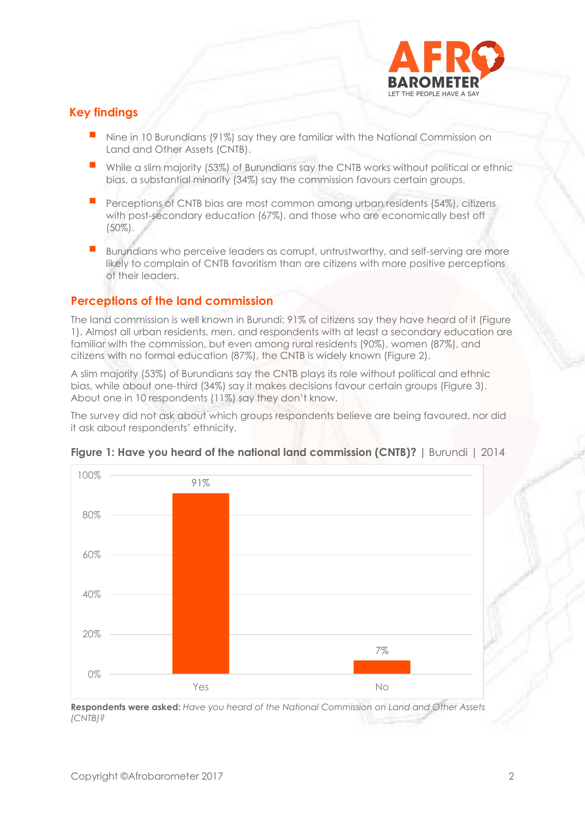

# **Key findings**

- Nine in 10 Burundians (91%) say they are familiar with the National Commission on Land and Other Assets (CNTB).
- **While a slim majority (53%) of Burundians say the CNTB works without political or ethnic** bias, a substantial minority (34%) say the commission favours certain groups.
- Perceptions of CNTB bias are most common among urban residents (54%), citizens with post-secondary education (67%), and those who are economically best off (50%).
- Burundians who perceive leaders as corrupt, untrustworthy, and self-serving are more likely to complain of CNTB favoritism than are citizens with more positive perceptions of their leaders.

### **Perceptions of the land commission**

The land commission is well known in Burundi: 91% of citizens say they have heard of it (Figure 1). Almost all urban residents, men, and respondents with at least a secondary education are familiar with the commission, but even among rural residents (90%), women (87%), and citizens with no formal education (87%), the CNTB is widely known (Figure 2).

A slim majority (53%) of Burundians say the CNTB plays its role without political and ethnic bias, while about one-third (34%) say it makes decisions favour certain groups (Figure 3). About one in 10 respondents (11%) say they don't know.

The survey did not ask about which groups respondents believe are being favoured, nor did it ask about respondents' ethnicity.



#### **Figure 1: Have you heard of the national land commission (CNTB)?** | Burundi | 2014

**Respondents were asked:** *Have you heard of the National Commission on Land and Other Assets (CNTB)?*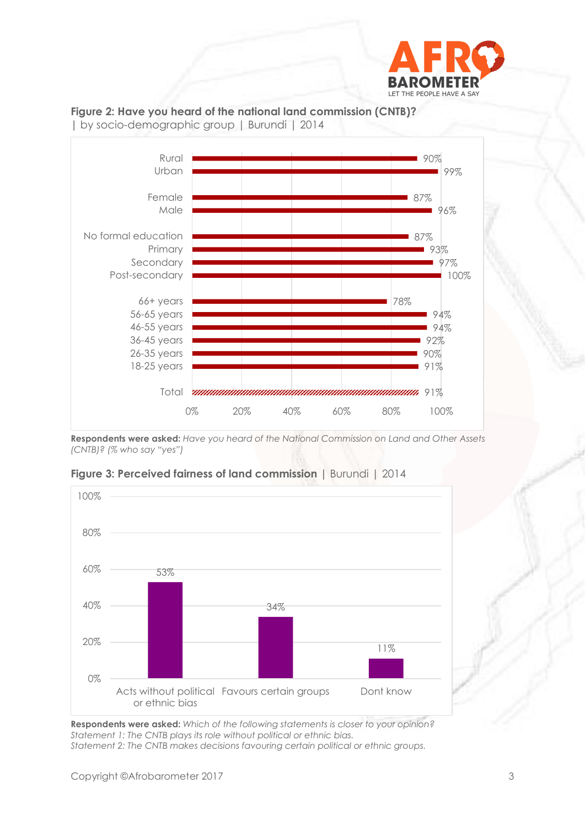



**Figure 2: Have you heard of the national land commission (CNTB)?** 

**Respondents were asked:** *Have you heard of the National Commission on Land and Other Assets (CNTB)? (% who say "yes")*





**Respondents were asked:** *Which of the following statements is closer to your opinion? Statement 1: The CNTB plays its role without political or ethnic bias. Statement 2: The CNTB makes decisions favouring certain political or ethnic groups.*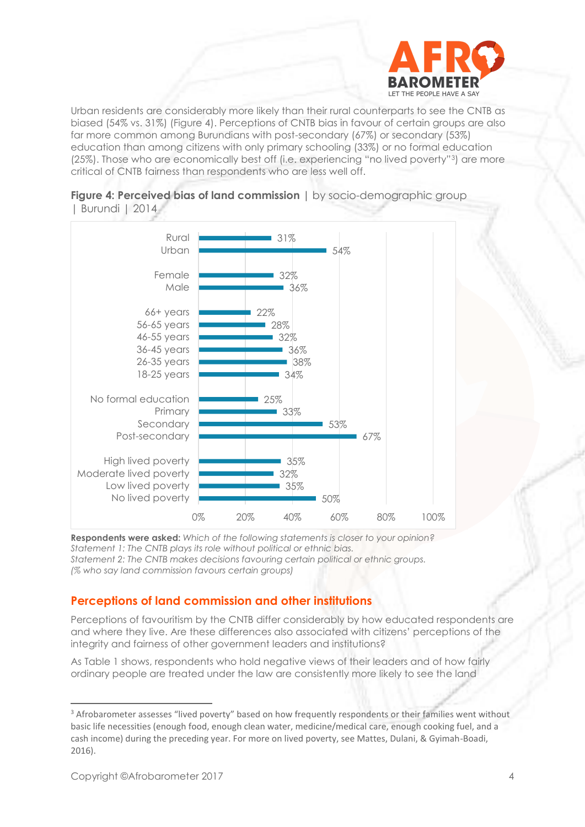

Urban residents are considerably more likely than their rural counterparts to see the CNTB as biased (54% vs. 31%) (Figure 4). Perceptions of CNTB bias in favour of certain groups are also far more common among Burundians with post-secondary (67%) or secondary (53%) education than among citizens with only primary schooling (33%) or no formal education (25%). Those who are economically best off (i.e. experiencing "no lived poverty"3) are more critical of CNTB fairness than respondents who are less well off.



**Figure 4: Perceived bias of land commission | by socio-demographic group** | Burundi | 2014

**Respondents were asked:** *Which of the following statements is closer to your opinion? Statement 1: The CNTB plays its role without political or ethnic bias. Statement 2: The CNTB makes decisions favouring certain political or ethnic groups. (% who say land commission favours certain groups)*

## **Perceptions of land commission and other institutions**

Perceptions of favouritism by the CNTB differ considerably by how educated respondents are and where they live. Are these differences also associated with citizens' perceptions of the integrity and fairness of other government leaders and institutions?

As Table 1 shows, respondents who hold negative views of their leaders and of how fairly ordinary people are treated under the law are consistently more likely to see the land

<sup>&</sup>lt;sup>3</sup> Afrobarometer assesses "lived poverty" based on how frequently respondents or their families went without basic life necessities (enough food, enough clean water, medicine/medical care, enough cooking fuel, and a cash income) during the preceding year. For more on lived poverty, see Mattes, Dulani, & Gyimah-Boadi, 2016).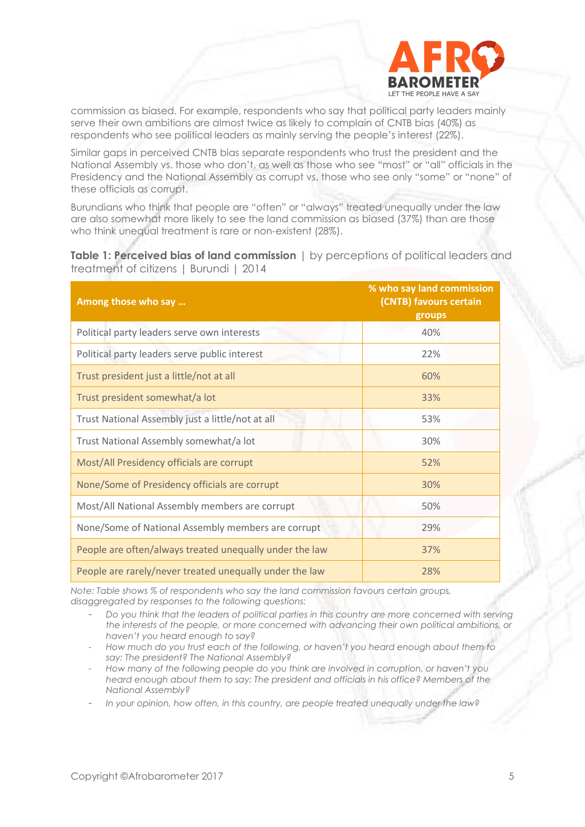

commission as biased. For example, respondents who say that political party leaders mainly serve their own ambitions are almost twice as likely to complain of CNTB bias (40%) as respondents who see political leaders as mainly serving the people's interest (22%).

Similar gaps in perceived CNTB bias separate respondents who trust the president and the National Assembly vs. those who don't, as well as those who see "most" or "all" officials in the Presidency and the National Assembly as corrupt vs. those who see only "some" or "none" of these officials as corrupt.

Burundians who think that people are "often" or "always" treated unequally under the law are also somewhat more likely to see the land commission as biased (37%) than are those who think unequal treatment is rare or non-existent (28%).

**Table 1: Perceived bias of land commission** | by perceptions of political leaders and treatment of citizens | Burundi | 2014

| Among those who say                                     | % who say land commission<br>(CNTB) favours certain<br>groups |
|---------------------------------------------------------|---------------------------------------------------------------|
| Political party leaders serve own interests             | 40%                                                           |
| Political party leaders serve public interest           | 22%                                                           |
| Trust president just a little/not at all                | 60%                                                           |
| Trust president somewhat/a lot                          | 33%                                                           |
| Trust National Assembly just a little/not at all        | 53%                                                           |
| Trust National Assembly somewhat/a lot                  | 30%                                                           |
| Most/All Presidency officials are corrupt               | 52%                                                           |
| None/Some of Presidency officials are corrupt           | 30%                                                           |
| Most/All National Assembly members are corrupt          | 50%                                                           |
| None/Some of National Assembly members are corrupt      | 29%                                                           |
| People are often/always treated unequally under the law | 37%                                                           |
| People are rarely/never treated unequally under the law | 28%                                                           |

*Note: Table shows % of respondents who say the land commission favours certain groups, disaggregated by responses to the following questions:*

- *Do you think that the leaders of political parties in this country are more concerned with serving the interests of the people, or more concerned with advancing their own political ambitions, or haven't you heard enough to say?*

- *How much do you trust each of the following, or haven't you heard enough about them to say: The president? The National Assembly?*
- *How many of the following people do you think are involved in corruption, or haven't you heard enough about them to say: The president and officials in his office? Members of the National Assembly?*
- *In your opinion, how often, in this country, are people treated unequally under the law?*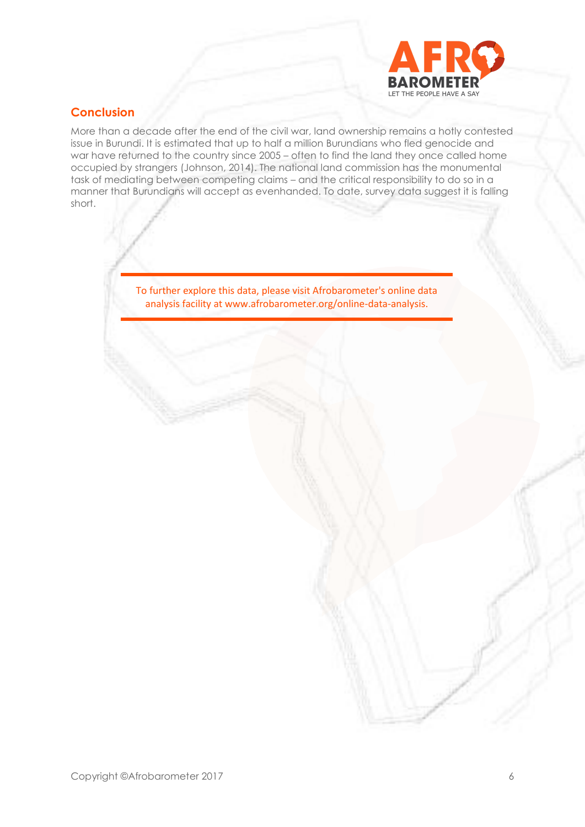

# **Conclusion**

More than a decade after the end of the civil war, land ownership remains a hotly contested issue in Burundi. It is estimated that up to half a million Burundians who fled genocide and war have returned to the country since 2005 – often to find the land they once called home occupied by strangers (Johnson, 2014). The national land commission has the monumental task of mediating between competing claims – and the critical responsibility to do so in a manner that Burundians will accept as evenhanded. To date, survey data suggest it is falling short.

> To further explore this data, please visit Afrobarometer's online data analysis facility at www.afrobarometer.org/online-data-analysis.